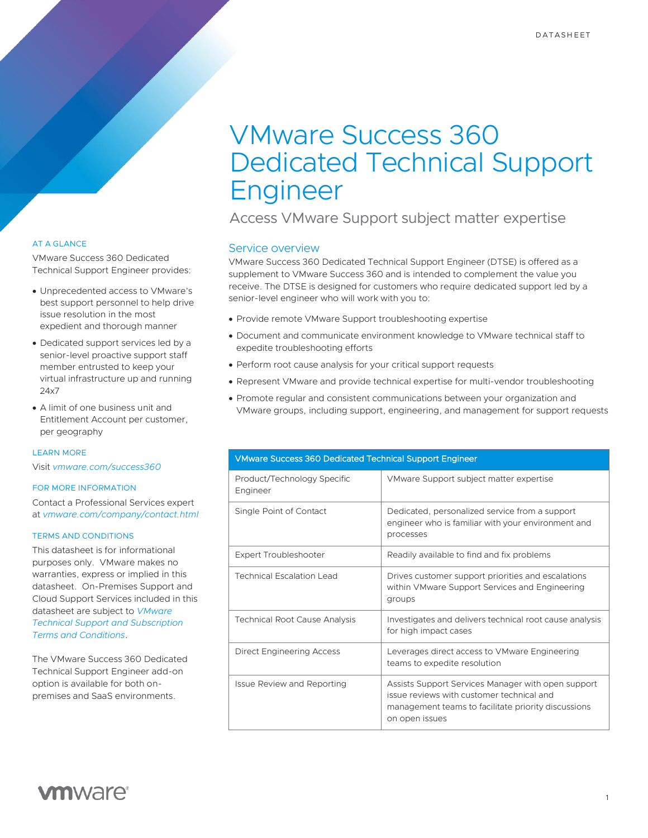# VMware Success 360 Dedicated Technical Support Engineer

Access VMware Support subject matter expertise

## Service overview

VMware Success 360 Dedicated Technical Support Engineer (DTSE) is offered as a supplement to VMware Success 360 and is intended to complement the value you receive. The DTSE is designed for customers who require dedicated support led by a senior-level engineer who will work with you to:

- Provide remote VMware Support troubleshooting expertise
- Document and communicate environment knowledge to VMware technical staff to expedite troubleshooting efforts
- Perform root cause analysis for your critical support requests
- Represent VMware and provide technical expertise for multi-vendor troubleshooting
- Promote regular and consistent communications between your organization and VMware groups, including support, engineering, and management for support requests

| <b>VMware Success 360 Dedicated Technical Support Engineer</b> |                                                                                                                                                                          |
|----------------------------------------------------------------|--------------------------------------------------------------------------------------------------------------------------------------------------------------------------|
| Product/Technology Specific<br>Engineer                        | VMware Support subject matter expertise                                                                                                                                  |
| Single Point of Contact                                        | Dedicated, personalized service from a support<br>engineer who is familiar with your environment and<br>processes                                                        |
| <b>Expert Troubleshooter</b>                                   | Readily available to find and fix problems                                                                                                                               |
| <b>Technical Escalation Lead</b>                               | Drives customer support priorities and escalations<br>within VMware Support Services and Engineering<br>groups                                                           |
| <b>Technical Root Cause Analysis</b>                           | Investigates and delivers technical root cause analysis<br>for high impact cases                                                                                         |
| Direct Engineering Access                                      | Leverages direct access to VMware Engineering<br>teams to expedite resolution                                                                                            |
| <b>Issue Review and Reporting</b>                              | Assists Support Services Manager with open support<br>issue reviews with customer technical and<br>management teams to facilitate priority discussions<br>on open issues |

## AT A GLANCE

VMware Success 360 Dedicated Technical Support Engineer provides:

- Unprecedented access to VMware's best support personnel to help drive issue resolution in the most expedient and thorough manner
- Dedicated support services led by a senior-level proactive support staff member entrusted to keep your virtual infrastructure up and running 24x7
- A limit of one business unit and Entitlement Account per customer, per geography

#### LEARN MORE

Visit *[vmware.com/success360](https://www.vmware.com/customer-success/success-360.html)*

#### FOR MORE INFORMATION

Contact a Professional Services expert at *vmware.com/company/contact.html*

#### TERMS AND CONDITIONS

This datasheet is for informational purposes only. VMware makes no warranties, express or implied in this datasheet. On-Premises Support and Cloud Support Services included in this datasheet are subject to *[VMware](https://www.vmware.com/content/dam/digitalmarketing/vmware/en/pdf/support/vmware-support-terms-conditions.pdf)  [Technical Support and Subscription](https://www.vmware.com/content/dam/digitalmarketing/vmware/en/pdf/support/vmware-support-terms-conditions.pdf) [Terms and Conditions](https://www.vmware.com/content/dam/digitalmarketing/vmware/en/pdf/support/vmware-support-terms-conditions.pdf)*.

The VMware Success 360 Dedicated Technical Support Engineer add-on option is available for both onpremises and SaaS environments.